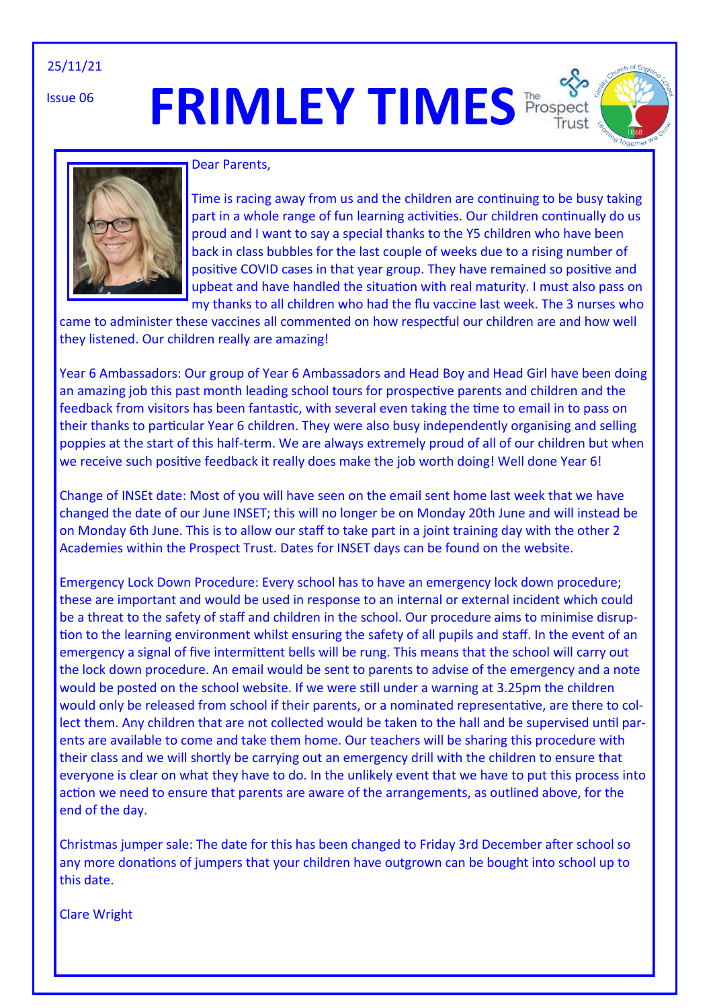#### 25/11/21

Issue 06

# **FRIMLEY TIMES** Prospec





#### Dear Parents,

Time is racing away from us and the children are continuing to be busy taking part in a whole range of fun learning activities. Our children continually do us proud and I want to say a special thanks to the Y5 children who have been back in class bubbles for the last couple of weeks due to a rising number of positive COVID cases in that year group. They have remained so positive and upbeat and have handled the situation with real maturity. I must also pass on my thanks to all children who had the flu vaccine last week. The 3 nurses who

came to administer these vaccines all commented on how respectful our children are and how well they listened. Our children really are amazing!

Year 6 Ambassadors: Our group of Year 6 Ambassadors and Head Boy and Head Girl have been doing an amazing job this past month leading school tours for prospective parents and children and the feedback from visitors has been fantastic, with several even taking the time to email in to pass on their thanks to particular Year 6 children. They were also busy independently organising and selling poppies at the start of this half-term. We are always extremely proud of all of our children but when we receive such positive feedback it really does make the job worth doing! Well done Year 6!

Change of INSEt date: Most of you will have seen on the email sent home last week that we have changed the date of our June INSET; this will no longer be on Monday 20th June and will instead be on Monday 6th June. This is to allow our staff to take part in a joint training day with the other 2 Academies within the Prospect Trust. Dates for INSET days can be found on the website.

Emergency Lock Down Procedure: Every school has to have an emergency lock down procedure; these are important and would be used in response to an internal or external incident which could be a threat to the safety of staff and children in the school. Our procedure aims to minimise disruption to the learning environment whilst ensuring the safety of all pupils and staff. In the event of an emergency a signal of five intermittent bells will be rung. This means that the school will carry out the lock down procedure. An email would be sent to parents to advise of the emergency and a note would be posted on the school website. If we were still under a warning at 3.25pm the children would only be released from school if their parents, or a nominated representative, are there to collect them. Any children that are not collected would be taken to the hall and be supervised until parents are available to come and take them home. Our teachers will be sharing this procedure with their class and we will shortly be carrying out an emergency drill with the children to ensure that everyone is clear on what they have to do. In the unlikely event that we have to put this process into action we need to ensure that parents are aware of the arrangements, as outlined above, for the end of the day.

Christmas jumper sale: The date for this has been changed to Friday 3rd December after school so any more donations of jumpers that your children have outgrown can be bought into school up to this date.

Clare Wright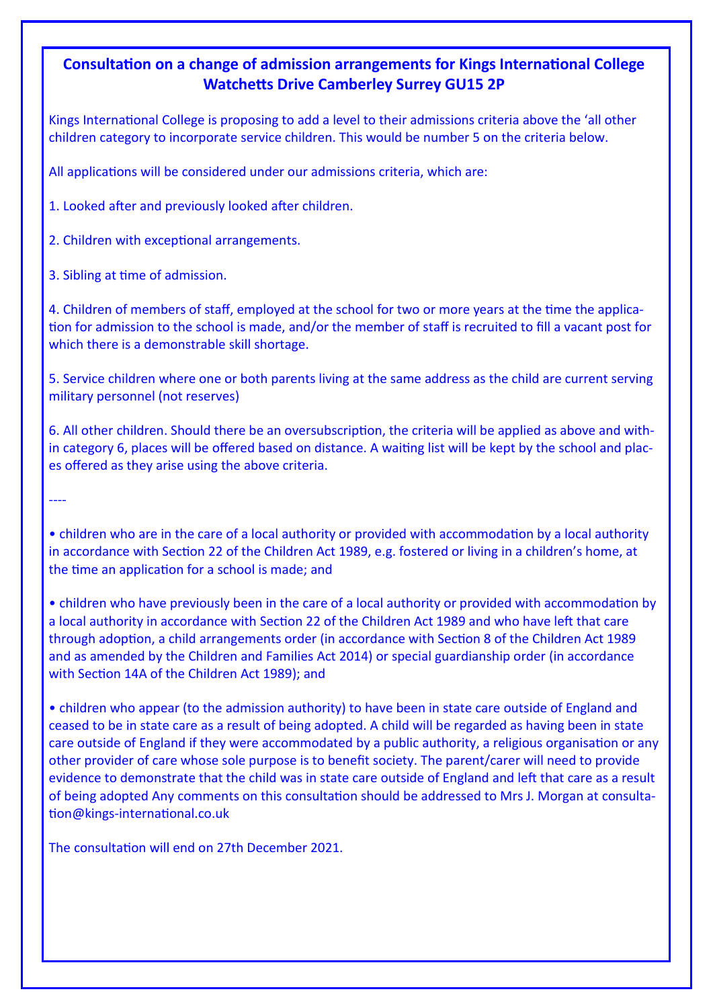## **Consultation on a change of admission arrangements for Kings International College Watchetts Drive Camberley Surrey GU15 2P**

Kings International College is proposing to add a level to their admissions criteria above the 'all other children category to incorporate service children. This would be number 5 on the criteria below.

All applications will be considered under our admissions criteria, which are:

1. Looked after and previously looked after children.

2. Children with exceptional arrangements.

3. Sibling at time of admission.

----

4. Children of members of staff, employed at the school for two or more years at the time the application for admission to the school is made, and/or the member of staff is recruited to fill a vacant post for which there is a demonstrable skill shortage.

5. Service children where one or both parents living at the same address as the child are current serving military personnel (not reserves)

6. All other children. Should there be an oversubscription, the criteria will be applied as above and within category 6, places will be offered based on distance. A waiting list will be kept by the school and places offered as they arise using the above criteria.

• children who are in the care of a local authority or provided with accommodation by a local authority in accordance with Section 22 of the Children Act 1989, e.g. fostered or living in a children's home, at the time an application for a school is made; and

• children who have previously been in the care of a local authority or provided with accommodation by a local authority in accordance with Section 22 of the Children Act 1989 and who have left that care through adoption, a child arrangements order (in accordance with Section 8 of the Children Act 1989 and as amended by the Children and Families Act 2014) or special guardianship order (in accordance with Section 14A of the Children Act 1989); and

• children who appear (to the admission authority) to have been in state care outside of England and ceased to be in state care as a result of being adopted. A child will be regarded as having been in state care outside of England if they were accommodated by a public authority, a religious organisation or any other provider of care whose sole purpose is to benefit society. The parent/carer will need to provide evidence to demonstrate that the child was in state care outside of England and left that care as a result of being adopted Any comments on this consultation should be addressed to Mrs J. Morgan at consultation@kings-international.co.uk

The consultation will end on 27th December 2021.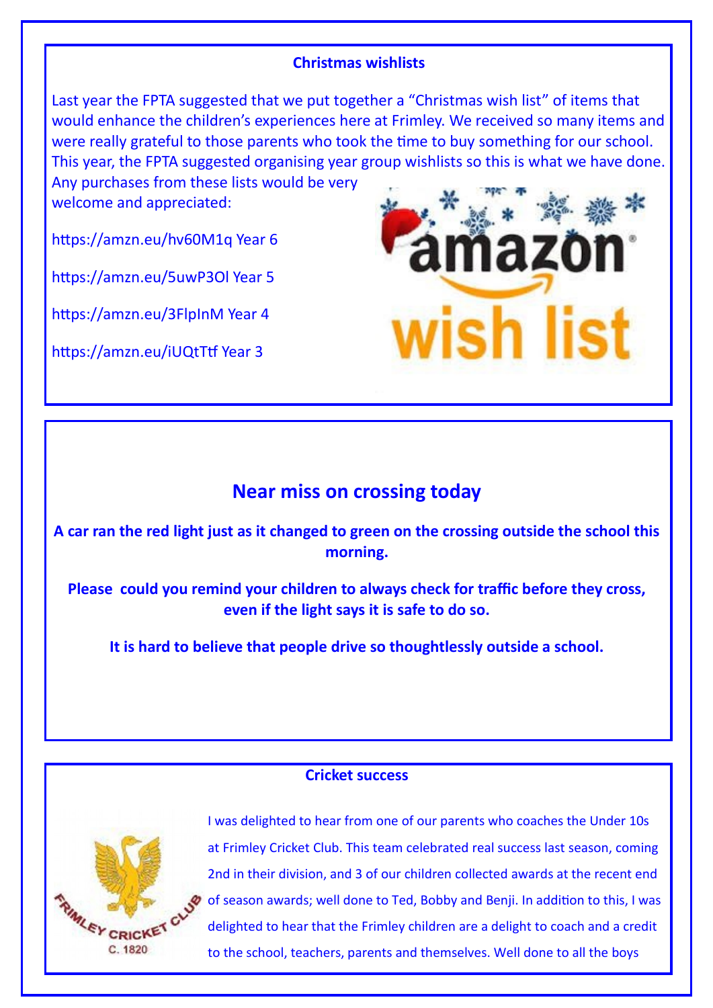#### **Christmas wishlists**

Last year the FPTA suggested that we put together a "Christmas wish list" of items that would enhance the children's experiences here at Frimley. We received so many items and were really grateful to those parents who took the time to buy something for our school. This year, the FPTA suggested organising year group wishlists so this is what we have done.

Any purchases from these lists would be very welcome and appreciated:

https://amzn.eu/hv60M1q Year 6

https://amzn.eu/5uwP3Ol Year 5

https://amzn.eu/3FlpInM Year 4

https://amzn.eu/iUQtTtf Year 3



# **Near miss on crossing today**

**A car ran the red light just as it changed to green on the crossing outside the school this morning.**

**Please could you remind your children to always check for traffic before they cross, even if the light says it is safe to do so.**

**It is hard to believe that people drive so thoughtlessly outside a school.**

#### **Cricket success**



I was delighted to hear from one of our parents who coaches the Under 10s at Frimley Cricket Club. This team celebrated real success last season, coming 2nd in their division, and 3 of our children collected awards at the recent end of season awards; well done to Ted, Bobby and Benji. In addition to this, I was delighted to hear that the Frimley children are a delight to coach and a credit to the school, teachers, parents and themselves. Well done to all the boys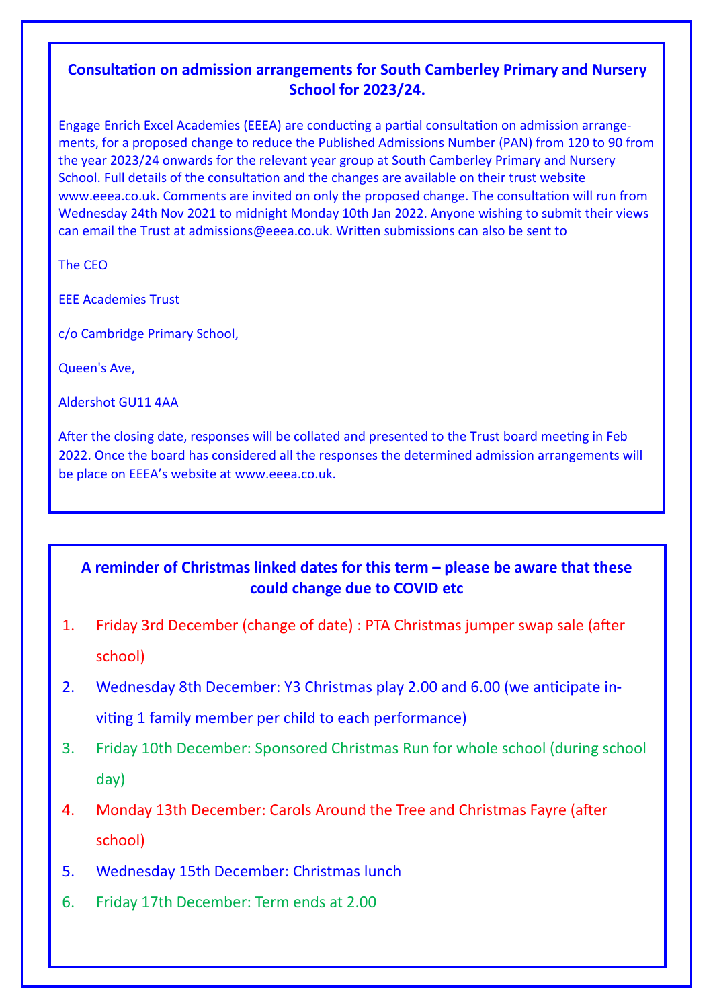## **Consultation on admission arrangements for South Camberley Primary and Nursery School for 2023/24.**

Engage Enrich Excel Academies (EEEA) are conducting a partial consultation on admission arrangements, for a proposed change to reduce the Published Admissions Number (PAN) from 120 to 90 from the year 2023/24 onwards for the relevant year group at South Camberley Primary and Nursery School. Full details of the consultation and the changes are available on their trust website www.eeea.co.uk. Comments are invited on only the proposed change. The consultation will run from Wednesday 24th Nov 2021 to midnight Monday 10th Jan 2022. Anyone wishing to submit their views can email the Trust at admissions@eeea.co.uk. Written submissions can also be sent to

The CEO

EEE Academies Trust

c/o Cambridge Primary School,

Queen's Ave,

Aldershot GU11 4AA

After the closing date, responses will be collated and presented to the Trust board meeting in Feb 2022. Once the board has considered all the responses the determined admission arrangements will be place on EEEA's website at www.eeea.co.uk.

# **A reminder of Christmas linked dates for this term – please be aware that these could change due to COVID etc**

- 1. Friday 3rd December (change of date) : PTA Christmas jumper swap sale (after school)
- 2. Wednesday 8th December: Y3 Christmas play 2.00 and 6.00 (we anticipate inviting 1 family member per child to each performance)
- 3. Friday 10th December: Sponsored Christmas Run for whole school (during school day)
- 4. Monday 13th December: Carols Around the Tree and Christmas Fayre (after school)
- 5. Wednesday 15th December: Christmas lunch
- 6. Friday 17th December: Term ends at 2.00